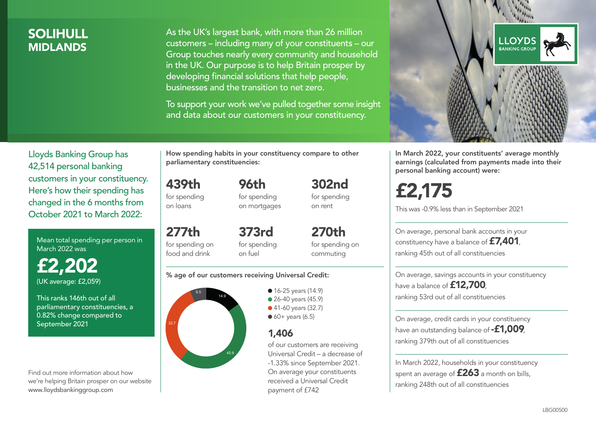### SOLIHULL **MIDI ANDS**

As the UK's largest bank, with more than 26 million customers – including many of your constituents – our Group touches nearly every community and household in the UK. Our purpose is to help Britain prosper by developing financial solutions that help people, businesses and the transition to net zero.

To support your work we've pulled together some insight and data about our customers in your constituency.



Mean total spending per person in March 2022 was

£2,202 (UK average: £2,059)

This ranks 146th out of all parliamentary constituencies, a 0.82% change compared to September 2021

Find out more information about how we're helping Britain prosper on our website www.lloydsbankinggroup.com

How spending habits in your constituency compare to other parliamentary constituencies:

439th for spending on loans

for spending on mortgages

96th

277th for spending on food and drink 373rd for spending on fuel

270th for spending on commuting

302nd for spending on rent

#### % age of our customers receiving Universal Credit:



• 16-25 years (14.9) ● 26-40 years (45.9) ● 41-60 years (32.7)  $60+$  years (6.5)

#### 1,406

of our customers are receiving Universal Credit – a decrease of -1.33% since September 2021. On average your constituents received a Universal Credit payment of £742



In March 2022, your constituents' average monthly earnings (calculated from payments made into their personal banking account) were:

# £2,175

This was -0.9% less than in September 2021

On average, personal bank accounts in your constituency have a balance of £7,401, ranking 45th out of all constituencies

On average, savings accounts in your constituency have a balance of **£12,700** ranking 53rd out of all constituencies

On average, credit cards in your constituency have an outstanding balance of **-£1,009** ranking 379th out of all constituencies

In March 2022, households in your constituency spent an average of  $£263$  a month on bills, ranking 248th out of all constituencies